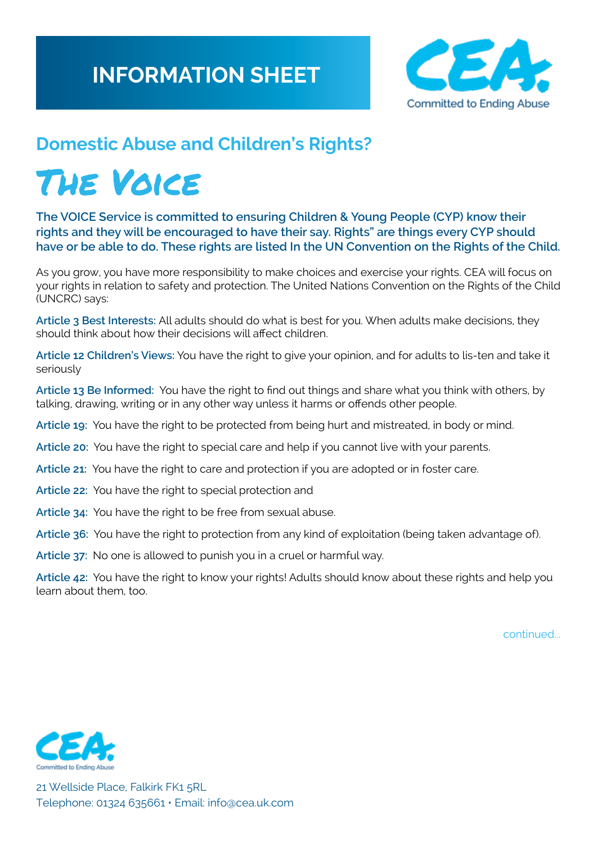

## **Domestic Abuse and Children's Rights?**

# THE VOICE

**The VOICE Service is committed to ensuring Children & Young People (CYP) know their rights and they will be encouraged to have their say. Rights" are things every CYP should have or be able to do. These rights are listed In the UN Convention on the Rights of the Child.** 

As you grow, you have more responsibility to make choices and exercise your rights. CEA will focus on your rights in relation to safety and protection. The United Nations Convention on the Rights of the Child (UNCRC) says:

**Article 3 Best Interests:** All adults should do what is best for you. When adults make decisions, they should think about how their decisions will affect children.

**Article 12 Children's Views:** You have the right to give your opinion, and for adults to lis-ten and take it seriously

**Article 13 Be Informed:** You have the right to find out things and share what you think with others, by talking, drawing, writing or in any other way unless it harms or offends other people.

**Article 19:** You have the right to be protected from being hurt and mistreated, in body or mind.

**Article 20:** You have the right to special care and help if you cannot live with your parents.

**Article 21:** You have the right to care and protection if you are adopted or in foster care.

- **Article 22:** You have the right to special protection and
- **Article 34:** You have the right to be free from sexual abuse.
- **Article 36:** You have the right to protection from any kind of exploitation (being taken advantage of).
- **Article 37:** No one is allowed to punish you in a cruel or harmful way.

**Article 42:** You have the right to know your rights! Adults should know about these rights and help you learn about them, too.

continued...